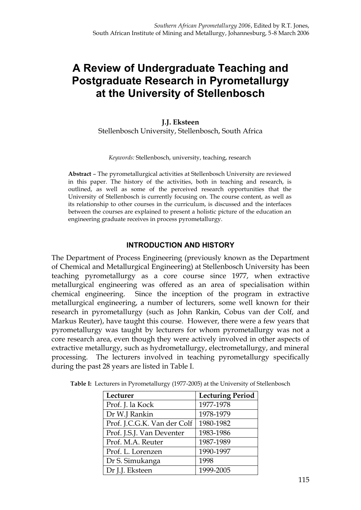# **A Review of Undergraduate Teaching and Postgraduate Research in Pyrometallurgy at the University of Stellenbosch**

### **J.J. Eksteen** Stellenbosch University, Stellenbosch, South Africa

*Keywords:* Stellenbosch, university, teaching, research

**Abstract** – The pyrometallurgical activities at Stellenbosch University are reviewed in this paper. The history of the activities, both in teaching and research, is outlined, as well as some of the perceived research opportunities that the University of Stellenbosch is currently focusing on. The course content, as well as its relationship to other courses in the curriculum, is discussed and the interfaces between the courses are explained to present a holistic picture of the education an engineering graduate receives in process pyrometallurgy.

#### **INTRODUCTION AND HISTORY**

The Department of Process Engineering (previously known as the Department of Chemical and Metallurgical Engineering) at Stellenbosch University has been teaching pyrometallurgy as a core course since 1977, when extractive metallurgical engineering was offered as an area of specialisation within chemical engineering. Since the inception of the program in extractive metallurgical engineering, a number of lecturers, some well known for their research in pyrometallurgy (such as John Rankin, Cobus van der Colf, and Markus Reuter), have taught this course. However, there were a few years that pyrometallurgy was taught by lecturers for whom pyrometallurgy was not a core research area, even though they were actively involved in other aspects of extractive metallurgy, such as hydrometallurgy, electrometallurgy, and mineral processing. The lecturers involved in teaching pyrometallurgy specifically during the past 28 years are listed in Table I.

| Lecturer                    | <b>Lecturing Period</b> |
|-----------------------------|-------------------------|
| Prof. J. la Kock            | 1977-1978               |
| Dr W.J Rankin               | 1978-1979               |
| Prof. J.C.G.K. Van der Colf | 1980-1982               |
| Prof. J.S.J. Van Deventer   | 1983-1986               |
| Prof. M.A. Reuter           | 1987-1989               |
| Prof. L. Lorenzen           | 1990-1997               |
| Dr S. Simukanga             | 1998                    |
| Dr J.J. Eksteen             | 1999-2005               |

**Table I:** Lecturers in Pyrometallurgy (1977-2005) at the University of Stellenbosch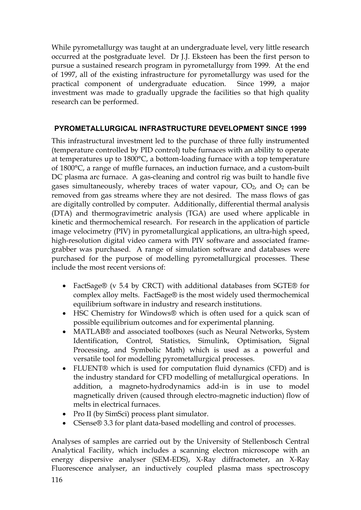While pyrometallurgy was taught at an undergraduate level, very little research occurred at the postgraduate level. Dr J.J. Eksteen has been the first person to pursue a sustained research program in pyrometallurgy from 1999. At the end of 1997, all of the existing infrastructure for pyrometallurgy was used for the practical component of undergraduate education. Since 1999, a major investment was made to gradually upgrade the facilities so that high quality research can be performed.

# **PYROMETALLURGICAL INFRASTRUCTURE DEVELOPMENT SINCE 1999**

This infrastructural investment led to the purchase of three fully instrumented (temperature controlled by PID control) tube furnaces with an ability to operate at temperatures up to 1800°C, a bottom-loading furnace with a top temperature of 1800°C, a range of muffle furnaces, an induction furnace, and a custom-built DC plasma arc furnace. A gas-cleaning and control rig was built to handle five gases simultaneously, whereby traces of water vapour,  $CO<sub>2</sub>$ , and  $O<sub>2</sub>$  can be removed from gas streams where they are not desired. The mass flows of gas are digitally controlled by computer. Additionally, differential thermal analysis (DTA) and thermogravimetric analysis (TGA) are used where applicable in kinetic and thermochemical research. For research in the application of particle image velocimetry (PIV) in pyrometallurgical applications, an ultra-high speed, high-resolution digital video camera with PIV software and associated framegrabber was purchased. A range of simulation software and databases were purchased for the purpose of modelling pyrometallurgical processes. These include the most recent versions of:

- · FactSage® (v 5.4 by CRCT) with additional databases from SGTE® for complex alloy melts. FactSage® is the most widely used thermochemical equilibrium software in industry and research institutions.
- · HSC Chemistry for Windows® which is often used for a quick scan of possible equilibrium outcomes and for experimental planning.
- · MATLAB® and associated toolboxes (such as Neural Networks, System Identification, Control, Statistics, Simulink, Optimisation, Signal Processing, and Symbolic Math) which is used as a powerful and versatile tool for modelling pyrometallurgical processes.
- · FLUENT® which is used for computation fluid dynamics (CFD) and is the industry standard for CFD modelling of metallurgical operations. In addition, a magneto-hydrodynamics add-in is in use to model magnetically driven (caused through electro-magnetic induction) flow of melts in electrical furnaces.
- Pro II (by SimSci) process plant simulator.
- · CSense® 3.3 for plant data-based modelling and control of processes.

Analyses of samples are carried out by the University of Stellenbosch Central Analytical Facility, which includes a scanning electron microscope with an energy dispersive analyser (SEM-EDS), X-Ray diffractometer, an X-Ray Fluorescence analyser, an inductively coupled plasma mass spectroscopy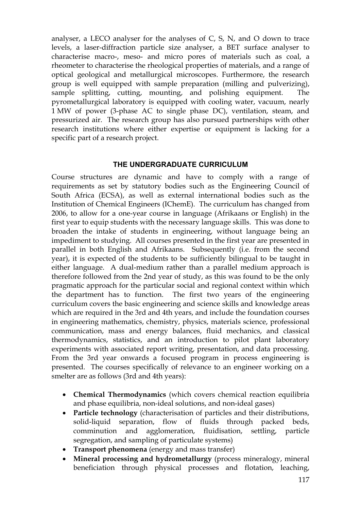analyser, a LECO analyser for the analyses of C, S, N, and O down to trace levels, a laser-diffraction particle size analyser, a BET surface analyser to characterise macro-, meso- and micro pores of materials such as coal, a rheometer to characterise the rheological properties of materials, and a range of optical geological and metallurgical microscopes. Furthermore, the research group is well equipped with sample preparation (milling and pulverizing), sample splitting, cutting, mounting, and polishing equipment. The pyrometallurgical laboratory is equipped with cooling water, vacuum, nearly 1 MW of power (3-phase AC to single phase DC), ventilation, steam, and pressurized air. The research group has also pursued partnerships with other research institutions where either expertise or equipment is lacking for a specific part of a research project.

#### **THE UNDERGRADUATE CURRICULUM**

Course structures are dynamic and have to comply with a range of requirements as set by statutory bodies such as the Engineering Council of South Africa (ECSA), as well as external international bodies such as the Institution of Chemical Engineers (IChemE). The curriculum has changed from 2006, to allow for a one-year course in language (Afrikaans or English) in the first year to equip students with the necessary language skills. This was done to broaden the intake of students in engineering, without language being an impediment to studying. All courses presented in the first year are presented in parallel in both English and Afrikaans. Subsequently (i.e. from the second year), it is expected of the students to be sufficiently bilingual to be taught in either language. A dual-medium rather than a parallel medium approach is therefore followed from the 2nd year of study, as this was found to be the only pragmatic approach for the particular social and regional context within which the department has to function. The first two years of the engineering curriculum covers the basic engineering and science skills and knowledge areas which are required in the 3rd and 4th years, and include the foundation courses in engineering mathematics, chemistry, physics, materials science, professional communication, mass and energy balances, fluid mechanics, and classical thermodynamics, statistics, and an introduction to pilot plant laboratory experiments with associated report writing, presentation, and data processing. From the 3rd year onwards a focused program in process engineering is presented. The courses specifically of relevance to an engineer working on a smelter are as follows (3rd and 4th years):

- · **Chemical Thermodynamics** (which covers chemical reaction equilibria and phase equilibria, non-ideal solutions, and non-ideal gases)
- · **Particle technology** (characterisation of particles and their distributions, solid-liquid separation, flow of fluids through packed beds, comminution and agglomeration, fluidisation, settling, particle segregation, and sampling of particulate systems)
- · **Transport phenomena** (energy and mass transfer)
- · **Mineral processing and hydrometallurgy** (process mineralogy, mineral beneficiation through physical processes and flotation, leaching,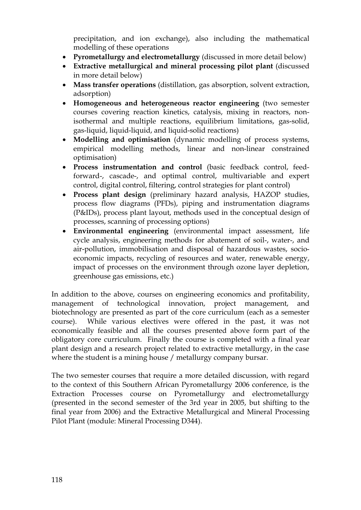precipitation, and ion exchange), also including the mathematical modelling of these operations

- · **Pyrometallurgy and electrometallurgy** (discussed in more detail below)
- · **Extractive metallurgical and mineral processing pilot plant** (discussed in more detail below)
- · **Mass transfer operations** (distillation, gas absorption, solvent extraction, adsorption)
- · **Homogeneous and heterogeneous reactor engineering** (two semester courses covering reaction kinetics, catalysis, mixing in reactors, nonisothermal and multiple reactions, equilibrium limitations, gas-solid, gas-liquid, liquid-liquid, and liquid-solid reactions)
- · **Modelling and optimisation** (dynamic modelling of process systems, empirical modelling methods, linear and non-linear constrained optimisation)
- · **Process instrumentation and control** (basic feedback control, feedforward-, cascade-, and optimal control, multivariable and expert control, digital control, filtering, control strategies for plant control)
- · **Process plant design** (preliminary hazard analysis, HAZOP studies, process flow diagrams (PFDs), piping and instrumentation diagrams (P&IDs), process plant layout, methods used in the conceptual design of processes, scanning of processing options)
- · **Environmental engineering** (environmental impact assessment, life cycle analysis, engineering methods for abatement of soil-, water-, and air-pollution, immobilisation and disposal of hazardous wastes, socioeconomic impacts, recycling of resources and water, renewable energy, impact of processes on the environment through ozone layer depletion, greenhouse gas emissions, etc.)

In addition to the above, courses on engineering economics and profitability, management of technological innovation, project management, and biotechnology are presented as part of the core curriculum (each as a semester course). While various electives were offered in the past, it was not economically feasible and all the courses presented above form part of the obligatory core curriculum. Finally the course is completed with a final year plant design and a research project related to extractive metallurgy, in the case where the student is a mining house / metallurgy company bursar.

The two semester courses that require a more detailed discussion, with regard to the context of this Southern African Pyrometallurgy 2006 conference, is the Extraction Processes course on Pyrometallurgy and electrometallurgy (presented in the second semester of the 3rd year in 2005, but shifting to the final year from 2006) and the Extractive Metallurgical and Mineral Processing Pilot Plant (module: Mineral Processing D344).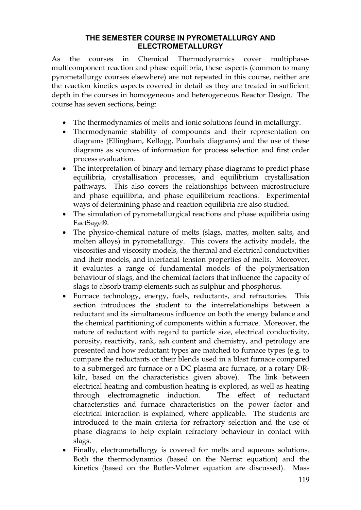#### **THE SEMESTER COURSE IN PYROMETALLURGY AND ELECTROMETALLURGY**

As the courses in Chemical Thermodynamics cover multiphasemulticomponent reaction and phase equilibria, these aspects (common to many pyrometallurgy courses elsewhere) are not repeated in this course, neither are the reaction kinetics aspects covered in detail as they are treated in sufficient depth in the courses in homogeneous and heterogeneous Reactor Design. The course has seven sections, being:

- The thermodynamics of melts and ionic solutions found in metallurgy.
- Thermodynamic stability of compounds and their representation on diagrams (Ellingham, Kellogg, Pourbaix diagrams) and the use of these diagrams as sources of information for process selection and first order process evaluation.
- The interpretation of binary and ternary phase diagrams to predict phase equilibria, crystallisation processes, and equilibrium crystallisation pathways. This also covers the relationships between microstructure and phase equilibria, and phase equilibrium reactions. Experimental ways of determining phase and reaction equilibria are also studied.
- · The simulation of pyrometallurgical reactions and phase equilibria using FactSage®.
- · The physico-chemical nature of melts (slags, mattes, molten salts, and molten alloys) in pyrometallurgy. This covers the activity models, the viscosities and viscosity models, the thermal and electrical conductivities and their models, and interfacial tension properties of melts. Moreover, it evaluates a range of fundamental models of the polymerisation behaviour of slags, and the chemical factors that influence the capacity of slags to absorb tramp elements such as sulphur and phosphorus.
- · Furnace technology, energy, fuels, reductants, and refractories. This section introduces the student to the interrelationships between a reductant and its simultaneous influence on both the energy balance and the chemical partitioning of components within a furnace. Moreover, the nature of reductant with regard to particle size, electrical conductivity, porosity, reactivity, rank, ash content and chemistry, and petrology are presented and how reductant types are matched to furnace types (e.g. to compare the reductants or their blends used in a blast furnace compared to a submerged arc furnace or a DC plasma arc furnace, or a rotary DRkiln, based on the characteristics given above). The link between electrical heating and combustion heating is explored, as well as heating through electromagnetic induction. The effect of reductant characteristics and furnace characteristics on the power factor and electrical interaction is explained, where applicable. The students are introduced to the main criteria for refractory selection and the use of phase diagrams to help explain refractory behaviour in contact with slags.
- · Finally, electrometallurgy is covered for melts and aqueous solutions. Both the thermodynamics (based on the Nernst equation) and the kinetics (based on the Butler-Volmer equation are discussed). Mass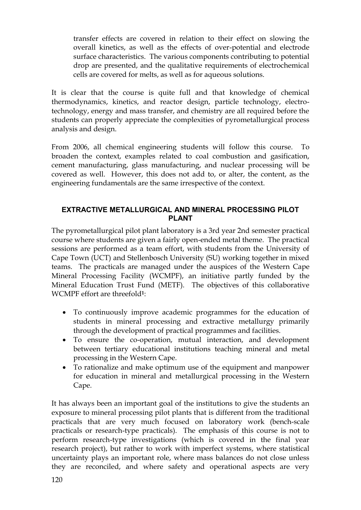transfer effects are covered in relation to their effect on slowing the overall kinetics, as well as the effects of over-potential and electrode surface characteristics. The various components contributing to potential drop are presented, and the qualitative requirements of electrochemical cells are covered for melts, as well as for aqueous solutions.

It is clear that the course is quite full and that knowledge of chemical thermodynamics, kinetics, and reactor design, particle technology, electrotechnology, energy and mass transfer, and chemistry are all required before the students can properly appreciate the complexities of pyrometallurgical process analysis and design.

From 2006, all chemical engineering students will follow this course. To broaden the context, examples related to coal combustion and gasification, cement manufacturing, glass manufacturing, and nuclear processing will be covered as well. However, this does not add to, or alter, the content, as the engineering fundamentals are the same irrespective of the context.

## **EXTRACTIVE METALLURGICAL AND MINERAL PROCESSING PILOT PLANT**

The pyrometallurgical pilot plant laboratory is a 3rd year 2nd semester practical course where students are given a fairly open-ended metal theme. The practical sessions are performed as a team effort, with students from the University of Cape Town (UCT) and Stellenbosch University (SU) working together in mixed teams. The practicals are managed under the auspices of the Western Cape Mineral Processing Facility (WCMPF), an initiative partly funded by the Mineral Education Trust Fund (METF). The objectives of this collaborative WCMPF effort are threefold**1**:

- · To continuously improve academic programmes for the education of students in mineral processing and extractive metallurgy primarily through the development of practical programmes and facilities.
- · To ensure the co-operation, mutual interaction, and development between tertiary educational institutions teaching mineral and metal processing in the Western Cape.
- · To rationalize and make optimum use of the equipment and manpower for education in mineral and metallurgical processing in the Western Cape.

It has always been an important goal of the institutions to give the students an exposure to mineral processing pilot plants that is different from the traditional practicals that are very much focused on laboratory work (bench-scale practicals or research-type practicals). The emphasis of this course is not to perform research-type investigations (which is covered in the final year research project), but rather to work with imperfect systems, where statistical uncertainty plays an important role, where mass balances do not close unless they are reconciled, and where safety and operational aspects are very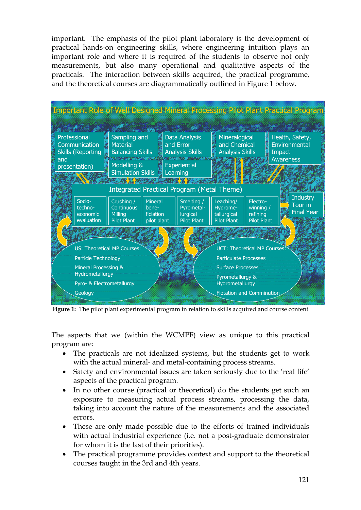important. The emphasis of the pilot plant laboratory is the development of practical hands-on engineering skills, where engineering intuition plays an important role and where it is required of the students to observe not only measurements, but also many operational and qualitative aspects of the practicals. The interaction between skills acquired, the practical programme, and the theoretical courses are diagrammatically outlined in Figure 1 below.

|                                                                                   |                               |                                                                           |                                      |                                                                                    |                                                         |                                      |                                                                |  | <b>Important Role of Well Designed Mineral Processing Pilot Plant Practical Program</b> |  |
|-----------------------------------------------------------------------------------|-------------------------------|---------------------------------------------------------------------------|--------------------------------------|------------------------------------------------------------------------------------|---------------------------------------------------------|--------------------------------------|----------------------------------------------------------------|--|-----------------------------------------------------------------------------------------|--|
|                                                                                   |                               |                                                                           |                                      |                                                                                    |                                                         |                                      |                                                                |  |                                                                                         |  |
| Professional<br>Communication<br><b>Skills (Reporting</b><br>and<br>presentation) |                               | Sampling and<br><b>Material</b><br><b>Balancing Skills</b><br>Modelling & |                                      | <b>Data Analysis</b><br>and Error<br><b>Analysis Skills</b><br><b>Experiential</b> | Mineralogical<br>and Chemical<br><b>Analysis Skills</b> |                                      | Health, Safety,<br>Environmental<br>Impact<br><b>Awareness</b> |  |                                                                                         |  |
|                                                                                   |                               | <b>Simulation Skills</b>                                                  |                                      |                                                                                    | Learning                                                |                                      |                                                                |  |                                                                                         |  |
|                                                                                   |                               | Integrated Practical Program (Metal Theme)                                |                                      |                                                                                    |                                                         |                                      |                                                                |  |                                                                                         |  |
|                                                                                   | Socio-<br>techno-<br>economic | Crushing /<br>Continuous<br><b>Milling</b>                                | <b>Mineral</b><br>bene-<br>ficiation |                                                                                    | Smelting /<br>Pyrometal-<br>lurgical                    | Leaching/<br>Hydrome-<br>tallurgical | Electro-<br>winning /<br>refining                              |  | <b>Industry</b><br>绿<br>Tour in<br><b>Final Year</b>                                    |  |
|                                                                                   | evaluation                    | <b>Pilot Plant</b>                                                        | pilot plant                          |                                                                                    | <b>Pilot Plant</b>                                      | <b>Pilot Plant</b>                   | <b>Pilot Plant</b>                                             |  |                                                                                         |  |
|                                                                                   |                               |                                                                           |                                      |                                                                                    |                                                         |                                      |                                                                |  |                                                                                         |  |
|                                                                                   |                               | US: Theoretical MP Courses:<br>Particle Technology                        |                                      |                                                                                    |                                                         |                                      | UCT: Theoretical MP Courses:<br><b>Particulate Processes</b>   |  |                                                                                         |  |
| Mineral Processing &<br>Hydrometallurgy                                           |                               |                                                                           |                                      |                                                                                    | <b>Surface Processes</b>                                |                                      |                                                                |  |                                                                                         |  |
|                                                                                   | Pyro- & Electrometallurgy     |                                                                           |                                      |                                                                                    |                                                         | Hydrometallurgy                      | Pyrometallurgy &                                               |  |                                                                                         |  |
|                                                                                   | Geology                       |                                                                           |                                      |                                                                                    |                                                         |                                      | <b>Flotation and Comminution</b>                               |  |                                                                                         |  |

**Figure 1:** The pilot plant experimental program in relation to skills acquired and course content

The aspects that we (within the WCMPF) view as unique to this practical program are:

- · The practicals are not idealized systems, but the students get to work with the actual mineral- and metal-containing process streams.
- · Safety and environmental issues are taken seriously due to the 'real life' aspects of the practical program.
- In no other course (practical or theoretical) do the students get such an exposure to measuring actual process streams, processing the data, taking into account the nature of the measurements and the associated errors.
- · These are only made possible due to the efforts of trained individuals with actual industrial experience (i.e. not a post-graduate demonstrator for whom it is the last of their priorities).
- · The practical programme provides context and support to the theoretical courses taught in the 3rd and 4th years.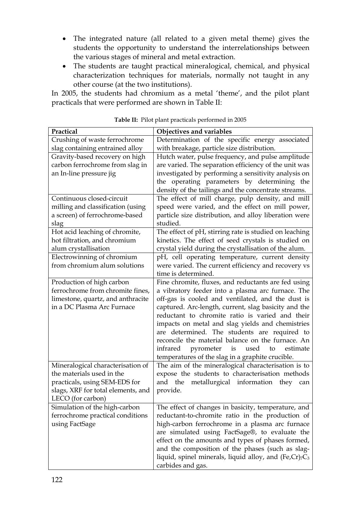- · The integrated nature (all related to a given metal theme) gives the students the opportunity to understand the interrelationships between the various stages of mineral and metal extraction.
- · The students are taught practical mineralogical, chemical, and physical characterization techniques for materials, normally not taught in any other course (at the two institutions).

In 2005, the students had chromium as a metal 'theme', and the pilot plant practicals that were performed are shown in Table II:

| Practical                          | Objectives and variables                                       |
|------------------------------------|----------------------------------------------------------------|
| Crushing of waste ferrochrome      | Determination of the specific energy associated                |
| slag containing entrained alloy    | with breakage, particle size distribution.                     |
| Gravity-based recovery on high     | Hutch water, pulse frequency, and pulse amplitude              |
| carbon ferrochrome from slag in    | are varied. The separation efficiency of the unit was          |
| an In-line pressure jig            | investigated by performing a sensitivity analysis on           |
|                                    | the operating parameters by determining the                    |
|                                    | density of the tailings and the concentrate streams.           |
| Continuous closed-circuit          | The effect of mill charge, pulp density, and mill              |
| milling and classification (using  | speed were varied, and the effect on mill power,               |
| a screen) of ferrochrome-based     | particle size distribution, and alloy liberation were          |
| slag                               | studied.                                                       |
| Hot acid leaching of chromite,     | The effect of pH, stirring rate is studied on leaching         |
| hot filtration, and chromium       | kinetics. The effect of seed crystals is studied on            |
| alum crystallisation               | crystal yield during the crystallisation of the alum.          |
| Electrowinning of chromium         | pH, cell operating temperature, current density                |
| from chromium alum solutions       | were varied. The current efficiency and recovery vs            |
|                                    | time is determined.                                            |
| Production of high carbon          | Fine chromite, fluxes, and reductants are fed using            |
| ferrochrome from chromite fines,   | a vibratory feeder into a plasma arc furnace. The              |
| limestone, quartz, and anthracite  | off-gas is cooled and ventilated, and the dust is              |
| in a DC Plasma Arc Furnace         | captured. Arc-length, current, slag basicity and the           |
|                                    | reductant to chromite ratio is varied and their                |
|                                    | impacts on metal and slag yields and chemistries               |
|                                    | are determined. The students are required to                   |
|                                    | reconcile the material balance on the furnace. An              |
|                                    | used<br>infrared<br>pyrometer<br>is<br>to<br>estimate          |
|                                    | temperatures of the slag in a graphite crucible.               |
| Mineralogical characterisation of  | The aim of the mineralogical characterisation is to            |
| the materials used in the          | expose the students to characterisation methods                |
| practicals, using SEM-EDS for      | metallurgical information<br>and the<br>they<br>can            |
| slags, XRF for total elements, and | provide.                                                       |
| LECO (for carbon)                  |                                                                |
| Simulation of the high-carbon      | The effect of changes in basicity, temperature, and            |
| ferrochrome practical conditions   | reductant-to-chromite ratio in the production of               |
| using FactSage                     | high-carbon ferrochrome in a plasma arc furnace                |
|                                    | are simulated using FactSage®, to evaluate the                 |
|                                    | effect on the amounts and types of phases formed,              |
|                                    | and the composition of the phases (such as slag-               |
|                                    | liquid, spinel minerals, liquid alloy, and $(Fe, Cr)_{7}C_{3}$ |
|                                    | carbides and gas.                                              |

|  | Table II: Pilot plant practicals performed in 2005 |  |
|--|----------------------------------------------------|--|
|  |                                                    |  |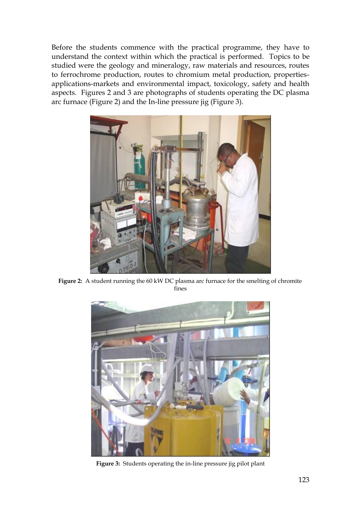Before the students commence with the practical programme, they have to understand the context within which the practical is performed. Topics to be studied were the geology and mineralogy, raw materials and resources, routes to ferrochrome production, routes to chromium metal production, propertiesapplications-markets and environmental impact, toxicology, safety and health aspects. Figures 2 and 3 are photographs of students operating the DC plasma arc furnace (Figure 2) and the In-line pressure jig (Figure 3).



**Figure 2:** A student running the 60 kW DC plasma arc furnace for the smelting of chromite fines



**Figure 3:** Students operating the in-line pressure jig pilot plant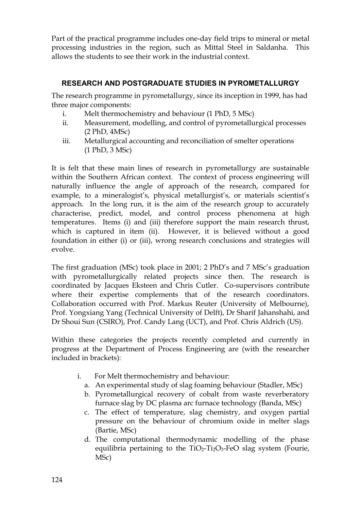Part of the practical programme includes one-day field trips to mineral or metal processing industries in the region, such as Mittal Steel in Saldanha. This allows the students to see their work in the industrial context.

# **RESEARCH AND POSTGRADUATE STUDIES IN PYROMETALLURGY**

The research programme in pyrometallurgy, since its inception in 1999, has had three major components:

- i. Melt thermochemistry and behaviour (1 PhD, 5 MSc)
- ii. Measurement, modelling, and control of pyrometallurgical processes (2 PhD, 4MSc)
- iii. Metallurgical accounting and reconciliation of smelter operations (1 PhD, 3 MSc)

It is felt that these main lines of research in pyrometallurgy are sustainable within the Southern African context. The context of process engineering will naturally influence the angle of approach of the research, compared for example, to a mineralogist's, physical metallurgist's, or materials scientist's approach. In the long run, it is the aim of the research group to accurately characterise, predict, model, and control process phenomena at high temperatures. Items (i) and (iii) therefore support the main research thrust, which is captured in item (ii). However, it is believed without a good foundation in either (i) or (iii), wrong research conclusions and strategies will evolve.

The first graduation (MSc) took place in 2001; 2 PhD's and 7 MSc's graduation with pyrometallurgically related projects since then. The research is coordinated by Jacques Eksteen and Chris Cutler. Co-supervisors contribute where their expertise complements that of the research coordinators. Collaboration occurred with Prof. Markus Reuter (University of Melbourne), Prof. Yongxiang Yang (Technical University of Delft), Dr Sharif Jahanshahi, and Dr Shoui Sun (CSIRO), Prof. Candy Lang (UCT), and Prof. Chris Aldrich (US).

Within these categories the projects recently completed and currently in progress at the Department of Process Engineering are (with the researcher included in brackets):

- i. For Melt thermochemistry and behaviour:
	- a. An experimental study of slag foaming behaviour (Stadler, MSc)
	- b. Pyrometallurgical recovery of cobalt from waste reverberatory furnace slag by DC plasma arc furnace technology (Banda, MSc)
	- c. The effect of temperature, slag chemistry, and oxygen partial pressure on the behaviour of chromium oxide in melter slags (Bartie, MSc)
	- d. The computational thermodynamic modelling of the phase equilibria pertaining to the  $TiO<sub>2</sub>-Ti<sub>2</sub>O<sub>3</sub>-FeO$  slag system (Fourie, MSc)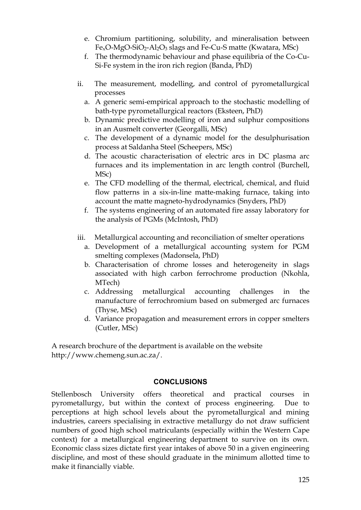- e. Chromium partitioning, solubility, and mineralisation between FexO-MgO-SiO2-Al2O<sup>3</sup> slags and Fe-Cu-S matte (Kwatara, MSc)
- f. The thermodynamic behaviour and phase equilibria of the Co-Cu-Si-Fe system in the iron rich region (Banda, PhD)
- ii. The measurement, modelling, and control of pyrometallurgical processes
	- a. A generic semi-empirical approach to the stochastic modelling of bath-type pyrometallurgical reactors (Eksteen, PhD)
	- b. Dynamic predictive modelling of iron and sulphur compositions in an Ausmelt converter (Georgalli, MSc)
	- c. The development of a dynamic model for the desulphurisation process at Saldanha Steel (Scheepers, MSc)
	- d. The acoustic characterisation of electric arcs in DC plasma arc furnaces and its implementation in arc length control (Burchell, MSc)
	- e. The CFD modelling of the thermal, electrical, chemical, and fluid flow patterns in a six-in-line matte-making furnace, taking into account the matte magneto-hydrodynamics (Snyders, PhD)
	- f. The systems engineering of an automated fire assay laboratory for the analysis of PGMs (McIntosh, PhD)
- iii. Metallurgical accounting and reconciliation of smelter operations
	- a. Development of a metallurgical accounting system for PGM smelting complexes (Madonsela, PhD)
	- b. Characterisation of chrome losses and heterogeneity in slags associated with high carbon ferrochrome production (Nkohla, MTech)
	- c. Addressing metallurgical accounting challenges in the manufacture of ferrochromium based on submerged arc furnaces (Thyse, MSc)
	- d. Variance propagation and measurement errors in copper smelters (Cutler, MSc)

A research brochure of the department is available on the website http://www.chemeng.sun.ac.za/.

## **CONCLUSIONS**

Stellenbosch University offers theoretical and practical courses in pyrometallurgy, but within the context of process engineering. Due to perceptions at high school levels about the pyrometallurgical and mining industries, careers specialising in extractive metallurgy do not draw sufficient numbers of good high school matriculants (especially within the Western Cape context) for a metallurgical engineering department to survive on its own. Economic class sizes dictate first year intakes of above 50 in a given engineering discipline, and most of these should graduate in the minimum allotted time to make it financially viable.